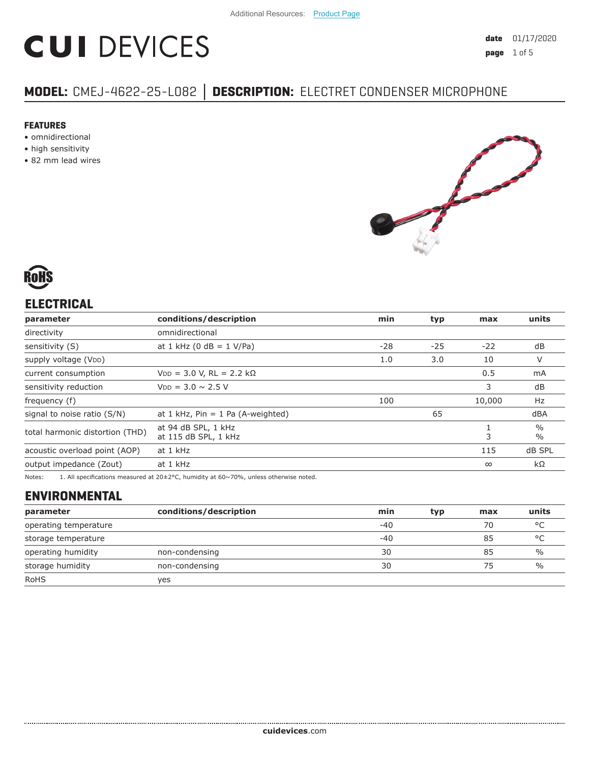# **CUI DEVICES**

# **MODEL:** CMEJ-4622-25-L082 **│ DESCRIPTION:** ELECTRET CONDENSER MICROPHONE

#### **FEATURES**

- omnidirectional
- high sensitivity
- 82 mm lead wires





# **ELECTRICAL**

| parameter                       | conditions/description                      | min   | typ   | max      | units                          |
|---------------------------------|---------------------------------------------|-------|-------|----------|--------------------------------|
| directivity                     | omnidirectional                             |       |       |          |                                |
| sensitivity (S)                 | at 1 kHz (0 dB = $1$ V/Pa)                  | $-28$ | $-25$ | $-22$    | dB                             |
| supply voltage (VDD)            |                                             | 1.0   | 3.0   | 10       | V                              |
| current consumption             | $VDD = 3.0 V$ , RL = 2.2 kΩ                 |       |       | 0.5      | mA                             |
| sensitivity reduction           | $V_{DD} = 3.0 \sim 2.5 V$                   |       |       | 3        | dB                             |
| frequency (f)                   |                                             | 100   |       | 10,000   | Hz                             |
| signal to noise ratio (S/N)     | at 1 kHz, $Pin = 1$ Pa (A-weighted)         |       | 65    |          | dBA                            |
| total harmonic distortion (THD) | at 94 dB SPL, 1 kHz<br>at 115 dB SPL, 1 kHz |       |       | 3        | $\frac{0}{0}$<br>$\frac{0}{0}$ |
| acoustic overload point (AOP)   | at 1 kHz                                    |       |       | 115      | dB SPL                         |
| output impedance (Zout)         | at 1 kHz                                    |       |       | $\infty$ | $k\Omega$                      |
|                                 |                                             |       |       |          |                                |

Notes: 1. All specifications measured at 20±2°C, humidity at 60~70%, unless otherwise noted.

# **ENVIRONMENTAL**

| parameter             | conditions/description | min   | typ | max | units         |
|-----------------------|------------------------|-------|-----|-----|---------------|
| operating temperature |                        | $-40$ |     | 70  | °C            |
| storage temperature   |                        | $-40$ |     | 85  | °C            |
| operating humidity    | non-condensing         | 30    |     | 85  | $\%$          |
| storage humidity      | non-condensing         | 30    |     | 75  | $\frac{0}{0}$ |
| <b>RoHS</b>           | yes                    |       |     |     |               |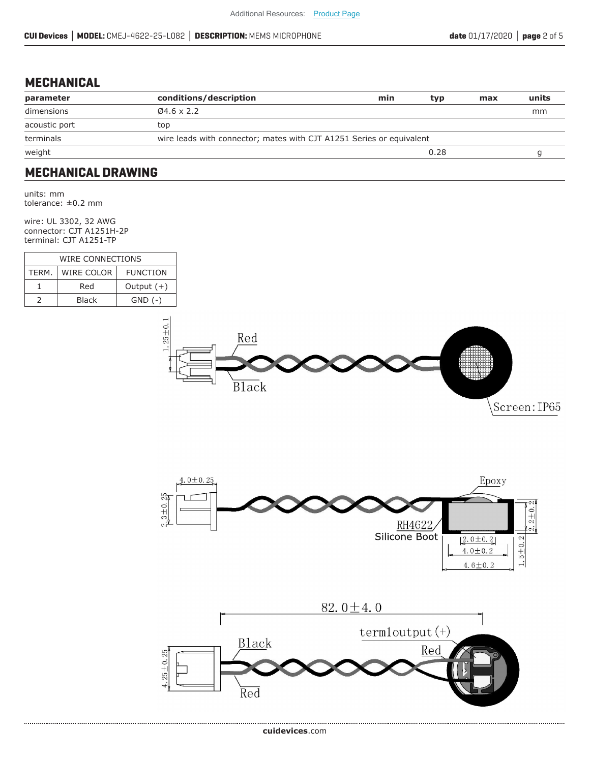#### **MECHANICAL**

| parameter     | conditions/description                                               | min | typ  | max | units |
|---------------|----------------------------------------------------------------------|-----|------|-----|-------|
| dimensions    | $\varnothing$ 4.6 x 2.2                                              |     |      |     | mm    |
| acoustic port | top                                                                  |     |      |     |       |
| terminals     | wire leads with connector; mates with CJT A1251 Series or equivalent |     |      |     |       |
| weight        |                                                                      |     | 0.28 |     |       |
|               |                                                                      |     |      |     |       |

### **MECHANICAL DRAWING**

units: mm tolerance: ±0.2 mm

wire: UL 3302, 32 AWG connector: CJT A1251H-2P terminal: CJT A1251-TP

| WIRE CONNECTIONS |                               |              |  |  |
|------------------|-------------------------------|--------------|--|--|
| TFRM.            | WIRE COLOR<br><b>FUNCTION</b> |              |  |  |
|                  | Red                           | Output $(+)$ |  |  |
|                  | <b>Black</b>                  | $GND$ $(-)$  |  |  |



Screen: IP65



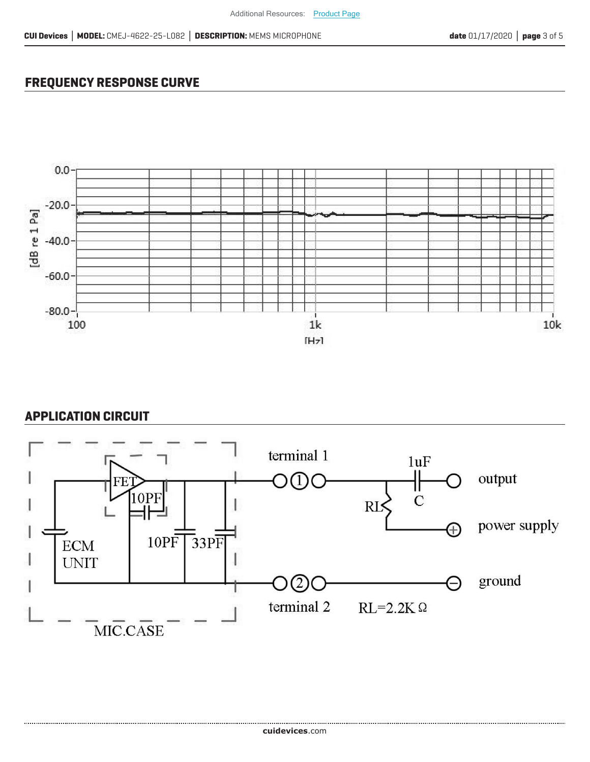## **FREQUENCY RESPONSE CURVE**



#### **APPLICATION CIRCUIT**

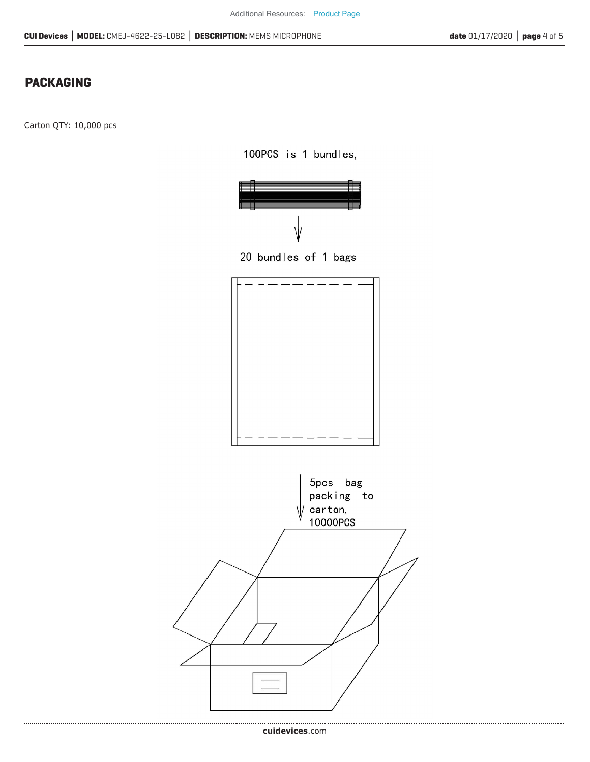# **PACKAGING**

Carton QTY: 10,000 pcs